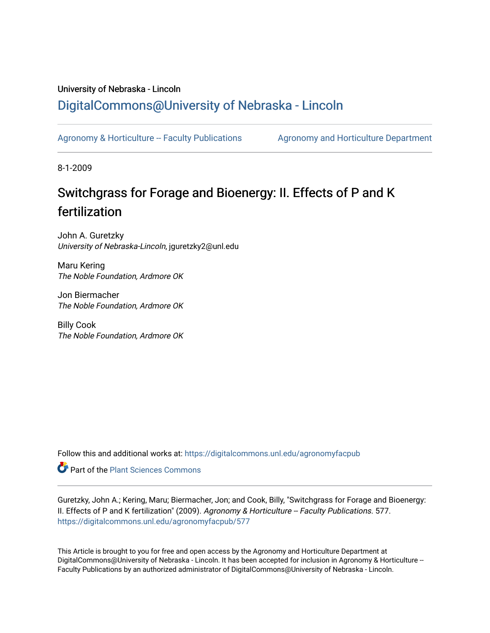### University of Nebraska - Lincoln [DigitalCommons@University of Nebraska - Lincoln](https://digitalcommons.unl.edu/)

[Agronomy & Horticulture -- Faculty Publications](https://digitalcommons.unl.edu/agronomyfacpub) Agronomy and Horticulture Department

8-1-2009

## Switchgrass for Forage and Bioenergy: II. Effects of P and K fertilization

John A. Guretzky University of Nebraska-Lincoln, jguretzky2@unl.edu

Maru Kering The Noble Foundation, Ardmore OK

Jon Biermacher The Noble Foundation, Ardmore OK

Billy Cook The Noble Foundation, Ardmore OK

Follow this and additional works at: [https://digitalcommons.unl.edu/agronomyfacpub](https://digitalcommons.unl.edu/agronomyfacpub?utm_source=digitalcommons.unl.edu%2Fagronomyfacpub%2F577&utm_medium=PDF&utm_campaign=PDFCoverPages)

Part of the [Plant Sciences Commons](http://network.bepress.com/hgg/discipline/102?utm_source=digitalcommons.unl.edu%2Fagronomyfacpub%2F577&utm_medium=PDF&utm_campaign=PDFCoverPages)

Guretzky, John A.; Kering, Maru; Biermacher, Jon; and Cook, Billy, "Switchgrass for Forage and Bioenergy: II. Effects of P and K fertilization" (2009). Agronomy & Horticulture -- Faculty Publications. 577. [https://digitalcommons.unl.edu/agronomyfacpub/577](https://digitalcommons.unl.edu/agronomyfacpub/577?utm_source=digitalcommons.unl.edu%2Fagronomyfacpub%2F577&utm_medium=PDF&utm_campaign=PDFCoverPages)

This Article is brought to you for free and open access by the Agronomy and Horticulture Department at DigitalCommons@University of Nebraska - Lincoln. It has been accepted for inclusion in Agronomy & Horticulture --Faculty Publications by an authorized administrator of DigitalCommons@University of Nebraska - Lincoln.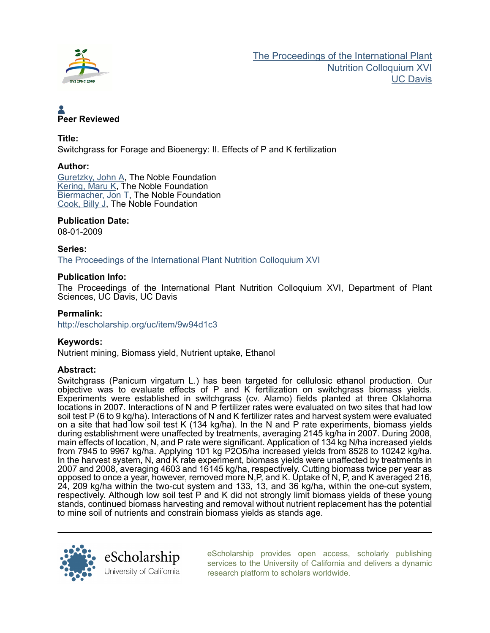

# Peer Reviewed

#### Title:

Switchgrass for Forage and Bioenergy: II. Effects of P and K fertilization

#### Author:

[Guretzky, John A](http://escholarship.org/uc/search?creator=Guretzky%2C%20John%20A), The Noble Foundation [Kering, Maru K](http://escholarship.org/uc/search?creator=Kering%2C%20Maru%20K), The Noble Foundation [Biermacher, Jon T](http://escholarship.org/uc/search?creator=Biermacher%2C%20Jon%20T), The Noble Foundation [Cook, Billy J](http://escholarship.org/uc/search?creator=Cook%2C%20Billy%20J), The Noble Foundation

#### Publication Date:

08-01-2009

Series: [The Proceedings of the International Plant Nutrition Colloquium XVI](http://escholarship.org/uc/ipnc_xvi)

#### Publication Info:

The Proceedings of the International Plant Nutrition Colloquium XVI, Department of Plant Sciences, UC Davis, UC Davis

#### Permalink:

<http://escholarship.org/uc/item/9w94d1c3>

#### Keywords:

Nutrient mining, Biomass yield, Nutrient uptake, Ethanol

#### Abstract:

Switchgrass (Panicum virgatum L.) has been targeted for cellulosic ethanol production. Our objective was to evaluate effects of P and K fertilization on switchgrass biomass vields. Experiments were established in switchgrass (cv. Alamo) fields planted at three Oklahoma locations in 2007. Interactions of N and P fertilizer rates were evaluated on two sites that had low soil test P (6 to 9 kg/ha). Interactions of N and K fertilizer rates and harvest system were evaluated on a site that had low soil test K (134 kg/ha). In the N and P rate experiments, biomass yields during establishment were unaffected by treatments, averaging 2145 kg/ha in 2007. During 2008, main effects of location, N, and P rate were significant. Application of 134 kg N/ha increased yields from 7945 to 9967 kg/ha. Applying 101 kg P2O5/ha increased yields from 8528 to 10242 kg/ha. In the harvest system, N, and K rate experiment, biomass yields were unaffected by treatments in 2007 and 2008, averaging 4603 and 16145 kg/ha, respectively. Cutting biomass twice per year as opposed to once a year, however, removed more N,P, and K. Uptake of N, P, and K averaged 216, 24, 209 kg/ha within the two-cut system and 133, 13, and 36 kg/ha, within the one-cut system, respectively. Although low soil test P and K did not strongly limit biomass yields of these young stands, continued biomass harvesting and removal without nutrient replacement has the potential to mine soil of nutrients and constrain biomass yields as stands age.



[eScholarship provides open access, scholarly publishing](http://escholarship.org) [services to the University of California and delivers a dynamic](http://escholarship.org) [research platform to scholars worldwide.](http://escholarship.org)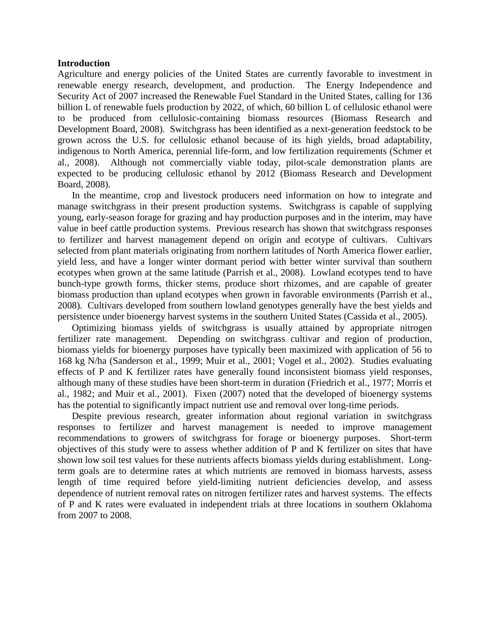#### **Introduction**

Agriculture and energy policies of the United States are currently favorable to investment in renewable energy research, development, and production. The Energy Independence and Security Act of 2007 increased the Renewable Fuel Standard in the United States, calling for 136 billion L of renewable fuels production by 2022, of which, 60 billion L of cellulosic ethanol were to be produced from cellulosic-containing biomass resources (Biomass Research and Development Board, 2008). Switchgrass has been identified as a next-generation feedstock to be grown across the U.S. for cellulosic ethanol because of its high yields, broad adaptability, indigenous to North America, perennial life-form, and low fertilization requirements (Schmer et al., 2008). Although not commercially viable today, pilot-scale demonstration plants are expected to be producing cellulosic ethanol by 2012 (Biomass Research and Development Board, 2008).

In the meantime, crop and livestock producers need information on how to integrate and manage switchgrass in their present production systems. Switchgrass is capable of supplying young, early-season forage for grazing and hay production purposes and in the interim, may have value in beef cattle production systems. Previous research has shown that switchgrass responses to fertilizer and harvest management depend on origin and ecotype of cultivars. Cultivars selected from plant materials originating from northern latitudes of North America flower earlier, yield less, and have a longer winter dormant period with better winter survival than southern ecotypes when grown at the same latitude (Parrish et al., 2008). Lowland ecotypes tend to have bunch-type growth forms, thicker stems, produce short rhizomes, and are capable of greater biomass production than upland ecotypes when grown in favorable environments (Parrish et al., 2008). Cultivars developed from southern lowland genotypes generally have the best yields and persistence under bioenergy harvest systems in the southern United States (Cassida et al., 2005).

Optimizing biomass yields of switchgrass is usually attained by appropriate nitrogen fertilizer rate management. Depending on switchgrass cultivar and region of production, biomass yields for bioenergy purposes have typically been maximized with application of 56 to 168 kg N/ha (Sanderson et al., 1999; Muir et al., 2001; Vogel et al., 2002). Studies evaluating effects of P and K fertilizer rates have generally found inconsistent biomass yield responses, although many of these studies have been short-term in duration (Friedrich et al., 1977; Morris et al., 1982; and Muir et al., 2001). Fixen (2007) noted that the developed of bioenergy systems has the potential to significantly impact nutrient use and removal over long-time periods.

Despite previous research, greater information about regional variation in switchgrass responses to fertilizer and harvest management is needed to improve management recommendations to growers of switchgrass for forage or bioenergy purposes. Short-term objectives of this study were to assess whether addition of P and K fertilizer on sites that have shown low soil test values for these nutrients affects biomass yields during establishment. Longterm goals are to determine rates at which nutrients are removed in biomass harvests, assess length of time required before yield-limiting nutrient deficiencies develop, and assess dependence of nutrient removal rates on nitrogen fertilizer rates and harvest systems. The effects of P and K rates were evaluated in independent trials at three locations in southern Oklahoma from 2007 to 2008.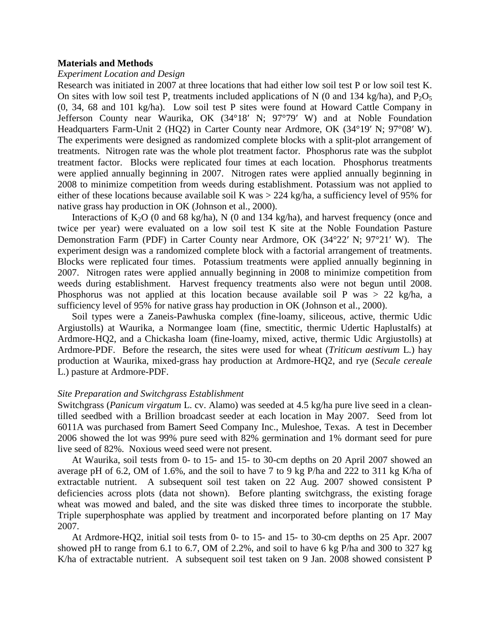#### **Materials and Methods**

#### *Experiment Location and Design*

Research was initiated in 2007 at three locations that had either low soil test P or low soil test K. On sites with low soil test P, treatments included applications of N (0 and 134 kg/ha), and  $P_2O_5$ (0, 34, 68 and 101 kg/ha). Low soil test P sites were found at Howard Cattle Company in Jefferson County near Waurika, OK (34°18′ N; 97°79′ W) and at Noble Foundation Headquarters Farm-Unit 2 (HQ2) in Carter County near Ardmore, OK (34°19′ N; 97°08′ W). The experiments were designed as randomized complete blocks with a split-plot arrangement of treatments. Nitrogen rate was the whole plot treatment factor. Phosphorus rate was the subplot treatment factor. Blocks were replicated four times at each location. Phosphorus treatments were applied annually beginning in 2007. Nitrogen rates were applied annually beginning in 2008 to minimize competition from weeds during establishment. Potassium was not applied to either of these locations because available soil K was > 224 kg/ha, a sufficiency level of 95% for native grass hay production in OK (Johnson et al., 2000).

Interactions of  $K_2O$  (0 and 68 kg/ha), N (0 and 134 kg/ha), and harvest frequency (once and twice per year) were evaluated on a low soil test K site at the Noble Foundation Pasture Demonstration Farm (PDF) in Carter County near Ardmore, OK (34°22′ N; 97°21′ W). The experiment design was a randomized complete block with a factorial arrangement of treatments. Blocks were replicated four times. Potassium treatments were applied annually beginning in 2007. Nitrogen rates were applied annually beginning in 2008 to minimize competition from weeds during establishment. Harvest frequency treatments also were not begun until 2008. Phosphorus was not applied at this location because available soil P was > 22 kg/ha, a sufficiency level of 95% for native grass hay production in OK (Johnson et al., 2000).

Soil types were a Zaneis-Pawhuska complex (fine-loamy, siliceous, active, thermic Udic Argiustolls) at Waurika, a Normangee loam (fine, smectitic, thermic Udertic Haplustalfs) at Ardmore-HQ2, and a Chickasha loam (fine-loamy, mixed, active, thermic Udic Argiustolls) at Ardmore-PDF. Before the research, the sites were used for wheat (*Triticum aestivum* L.) hay production at Waurika, mixed-grass hay production at Ardmore-HQ2, and rye (*Secale cereale* L.) pasture at Ardmore-PDF.

#### *Site Preparation and Switchgrass Establishment*

Switchgrass (*Panicum virgatum* L. cv. Alamo) was seeded at 4.5 kg/ha pure live seed in a cleantilled seedbed with a Brillion broadcast seeder at each location in May 2007. Seed from lot 6011A was purchased from Bamert Seed Company Inc., Muleshoe, Texas. A test in December 2006 showed the lot was 99% pure seed with 82% germination and 1% dormant seed for pure live seed of 82%. Noxious weed seed were not present.

At Waurika, soil tests from 0- to 15- and 15- to 30-cm depths on 20 April 2007 showed an average pH of 6.2, OM of 1.6%, and the soil to have 7 to 9 kg P/ha and 222 to 311 kg K/ha of extractable nutrient. A subsequent soil test taken on 22 Aug. 2007 showed consistent P deficiencies across plots (data not shown). Before planting switchgrass, the existing forage wheat was mowed and baled, and the site was disked three times to incorporate the stubble. Triple superphosphate was applied by treatment and incorporated before planting on 17 May 2007.

At Ardmore-HQ2, initial soil tests from 0- to 15- and 15- to 30-cm depths on 25 Apr. 2007 showed pH to range from 6.1 to 6.7, OM of 2.2%, and soil to have 6 kg P/ha and 300 to 327 kg K/ha of extractable nutrient. A subsequent soil test taken on 9 Jan. 2008 showed consistent P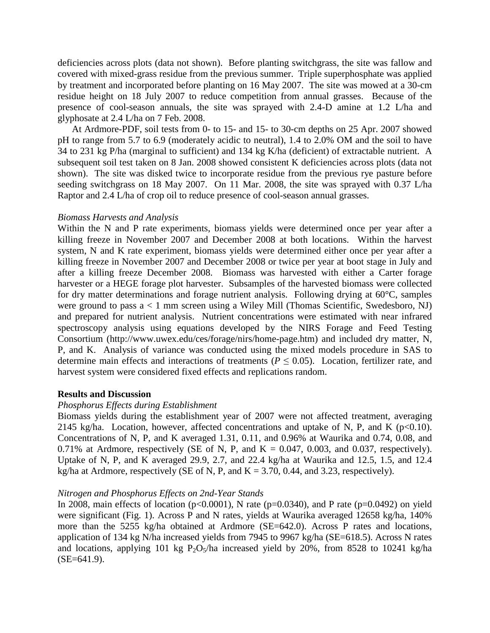deficiencies across plots (data not shown). Before planting switchgrass, the site was fallow and covered with mixed-grass residue from the previous summer. Triple superphosphate was applied by treatment and incorporated before planting on 16 May 2007. The site was mowed at a 30-cm residue height on 18 July 2007 to reduce competition from annual grasses. Because of the presence of cool-season annuals, the site was sprayed with 2.4-D amine at 1.2 L/ha and glyphosate at 2.4 L/ha on 7 Feb. 2008.

At Ardmore-PDF, soil tests from 0- to 15- and 15- to 30-cm depths on 25 Apr. 2007 showed pH to range from 5.7 to 6.9 (moderately acidic to neutral), 1.4 to 2.0% OM and the soil to have 34 to 231 kg P/ha (marginal to sufficient) and 134 kg K/ha (deficient) of extractable nutrient. A subsequent soil test taken on 8 Jan. 2008 showed consistent K deficiencies across plots (data not shown). The site was disked twice to incorporate residue from the previous rye pasture before seeding switchgrass on 18 May 2007. On 11 Mar. 2008, the site was sprayed with 0.37 L/ha Raptor and 2.4 L/ha of crop oil to reduce presence of cool-season annual grasses.

#### *Biomass Harvests and Analysis*

Within the N and P rate experiments, biomass yields were determined once per year after a killing freeze in November 2007 and December 2008 at both locations. Within the harvest system, N and K rate experiment, biomass yields were determined either once per year after a killing freeze in November 2007 and December 2008 or twice per year at boot stage in July and after a killing freeze December 2008. Biomass was harvested with either a Carter forage harvester or a HEGE forage plot harvester. Subsamples of the harvested biomass were collected for dry matter determinations and forage nutrient analysis. Following drying at 60°C, samples were ground to pass a < 1 mm screen using a Wiley Mill (Thomas Scientific, Swedesboro, NJ) and prepared for nutrient analysis. Nutrient concentrations were estimated with near infrared spectroscopy analysis using equations developed by the NIRS Forage and Feed Testing Consortium (http://www.uwex.edu/ces/forage/nirs/home-page.htm) and included dry matter, N, P, and K. Analysis of variance was conducted using the mixed models procedure in SAS to determine main effects and interactions of treatments ( $P \le 0.05$ ). Location, fertilizer rate, and harvest system were considered fixed effects and replications random.

#### **Results and Discussion**

#### *Phosphorus Effects during Establishment*

Biomass yields during the establishment year of 2007 were not affected treatment, averaging 2145 kg/ha. Location, however, affected concentrations and uptake of N, P, and K ( $p<0.10$ ). Concentrations of N, P, and K averaged 1.31, 0.11, and 0.96% at Waurika and 0.74, 0.08, and 0.71% at Ardmore, respectively (SE of N, P, and K = 0.047, 0.003, and 0.037, respectively). Uptake of N, P, and K averaged 29.9, 2.7, and 22.4 kg/ha at Waurika and 12.5, 1.5, and 12.4 kg/ha at Ardmore, respectively (SE of N, P, and  $K = 3.70$ , 0.44, and 3.23, respectively).

#### *Nitrogen and Phosphorus Effects on 2nd-Year Stands*

In 2008, main effects of location ( $p<0.0001$ ), N rate ( $p=0.0340$ ), and P rate ( $p=0.0492$ ) on yield were significant (Fig. 1). Across P and N rates, yields at Waurika averaged 12658 kg/ha, 140% more than the 5255 kg/ha obtained at Ardmore (SE=642.0). Across P rates and locations, application of 134 kg N/ha increased yields from 7945 to 9967 kg/ha (SE=618.5). Across N rates and locations, applying 101 kg  $P_2O_5/ha$  increased yield by 20%, from 8528 to 10241 kg/ha  $(SE=641.9)$ .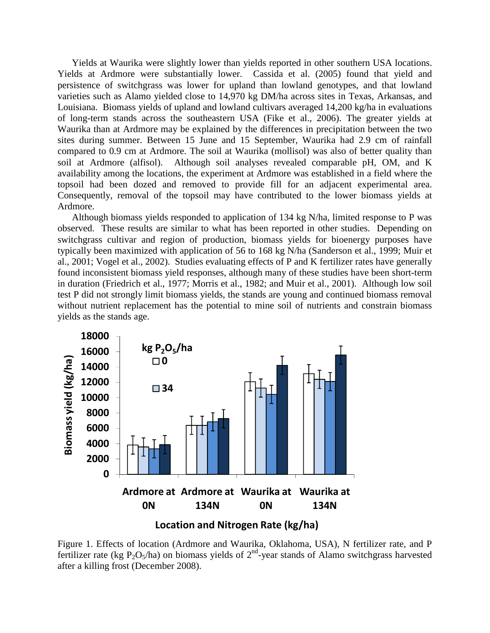Yields at Waurika were slightly lower than yields reported in other southern USA locations. Yields at Ardmore were substantially lower. Cassida et al. (2005) found that yield and persistence of switchgrass was lower for upland than lowland genotypes, and that lowland varieties such as Alamo yielded close to 14,970 kg DM/ha across sites in Texas, Arkansas, and Louisiana. Biomass yields of upland and lowland cultivars averaged 14,200 kg/ha in evaluations of long-term stands across the southeastern USA (Fike et al., 2006). The greater yields at Waurika than at Ardmore may be explained by the differences in precipitation between the two sites during summer. Between 15 June and 15 September, Waurika had 2.9 cm of rainfall compared to 0.9 cm at Ardmore. The soil at Waurika (mollisol) was also of better quality than soil at Ardmore (alfisol). Although soil analyses revealed comparable pH, OM, and K availability among the locations, the experiment at Ardmore was established in a field where the topsoil had been dozed and removed to provide fill for an adjacent experimental area. Consequently, removal of the topsoil may have contributed to the lower biomass yields at Ardmore.

Although biomass yields responded to application of 134 kg N/ha, limited response to P was observed. These results are similar to what has been reported in other studies. Depending on switchgrass cultivar and region of production, biomass yields for bioenergy purposes have typically been maximized with application of 56 to 168 kg N/ha (Sanderson et al., 1999; Muir et al., 2001; Vogel et al., 2002). Studies evaluating effects of P and K fertilizer rates have generally found inconsistent biomass yield responses, although many of these studies have been short-term in duration (Friedrich et al., 1977; Morris et al., 1982; and Muir et al., 2001). Although low soil test P did not strongly limit biomass yields, the stands are young and continued biomass removal without nutrient replacement has the potential to mine soil of nutrients and constrain biomass yields as the stands age.



Figure 1. Effects of location (Ardmore and Waurika, Oklahoma, USA), N fertilizer rate, and P fertilizer rate (kg P<sub>2</sub>O<sub>5</sub>/ha) on biomass yields of  $2<sup>nd</sup>$ -year stands of Alamo switchgrass harvested after a killing frost (December 2008).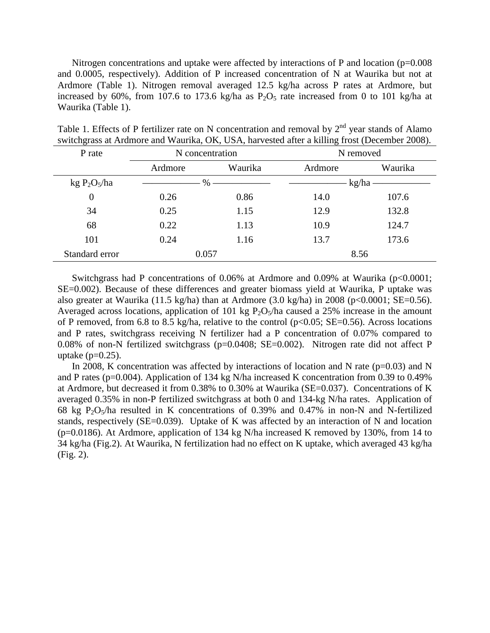Nitrogen concentrations and uptake were affected by interactions of P and location (p=0.008) and 0.0005, respectively). Addition of P increased concentration of N at Waurika but not at Ardmore (Table 1). Nitrogen removal averaged 12.5 kg/ha across P rates at Ardmore, but increased by 60%, from 107.6 to 173.6 kg/ha as  $P_2O_5$  rate increased from 0 to 101 kg/ha at Waurika (Table 1).

| P rate                               | N concentration |         | N removed |         |  |
|--------------------------------------|-----------------|---------|-----------|---------|--|
|                                      | Ardmore         | Waurika | Ardmore   | Waurika |  |
| kg P <sub>2</sub> O <sub>5</sub> /ha | %               |         | kg/ha     |         |  |
| $\overline{0}$                       | 0.26            | 0.86    | 14.0      | 107.6   |  |
| 34                                   | 0.25            | 1.15    | 12.9      | 132.8   |  |
| 68                                   | 0.22            | 1.13    | 10.9      | 124.7   |  |
| 101                                  | 0.24            | 1.16    | 13.7      | 173.6   |  |
| Standard error                       | 0.057           |         | 8.56      |         |  |

Table 1. Effects of P fertilizer rate on N concentration and removal by  $2<sup>nd</sup>$  year stands of Alamo switchgrass at Ardmore and Waurika, OK, USA, harvested after a killing frost (December 2008).

Switchgrass had P concentrations of 0.06% at Ardmore and 0.09% at Waurika  $(p<0.0001;$ SE=0.002). Because of these differences and greater biomass yield at Waurika, P uptake was also greater at Waurika (11.5 kg/ha) than at Ardmore (3.0 kg/ha) in 2008 (p<0.0001; SE=0.56). Averaged across locations, application of 101 kg  $P_2O_5/ha$  caused a 25% increase in the amount of P removed, from 6.8 to 8.5 kg/ha, relative to the control ( $p<0.05$ ; SE=0.56). Across locations and P rates, switchgrass receiving N fertilizer had a P concentration of 0.07% compared to 0.08% of non-N fertilized switchgrass (p=0.0408; SE=0.002). Nitrogen rate did not affect P uptake  $(p=0.25)$ .

In 2008, K concentration was affected by interactions of location and N rate ( $p=0.03$ ) and N and P rates (p=0.004). Application of 134 kg N/ha increased K concentration from 0.39 to 0.49% at Ardmore, but decreased it from 0.38% to 0.30% at Waurika (SE=0.037). Concentrations of K averaged 0.35% in non-P fertilized switchgrass at both 0 and 134-kg N/ha rates. Application of 68 kg P<sub>2</sub>O<sub>5</sub>/ha resulted in K concentrations of 0.39% and 0.47% in non-N and N-fertilized stands, respectively (SE=0.039). Uptake of K was affected by an interaction of N and location (p=0.0186). At Ardmore, application of 134 kg N/ha increased K removed by 130%, from 14 to 34 kg/ha (Fig.2). At Waurika, N fertilization had no effect on K uptake, which averaged 43 kg/ha (Fig. 2).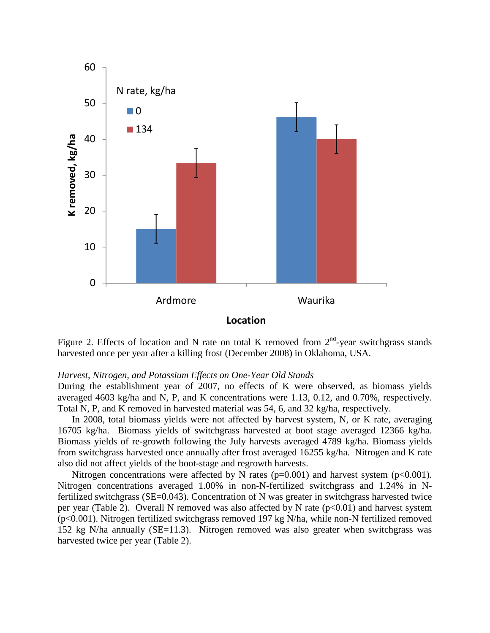

Figure 2. Effects of location and N rate on total K removed from  $2<sup>nd</sup>$ -year switchgrass stands harvested once per year after a killing frost (December 2008) in Oklahoma, USA.

#### *Harvest, Nitrogen, and Potassium Effects on One-Year Old Stands*

During the establishment year of 2007, no effects of K were observed, as biomass yields averaged 4603 kg/ha and N, P, and K concentrations were 1.13, 0.12, and 0.70%, respectively. Total N, P, and K removed in harvested material was 54, 6, and 32 kg/ha, respectively.

In 2008, total biomass yields were not affected by harvest system, N, or K rate, averaging 16705 kg/ha. Biomass yields of switchgrass harvested at boot stage averaged 12366 kg/ha. Biomass yields of re-growth following the July harvests averaged 4789 kg/ha. Biomass yields from switchgrass harvested once annually after frost averaged 16255 kg/ha. Nitrogen and K rate also did not affect yields of the boot-stage and regrowth harvests.

Nitrogen concentrations were affected by N rates  $(p=0.001)$  and harvest system  $(p<0.001)$ . Nitrogen concentrations averaged 1.00% in non-N-fertilized switchgrass and 1.24% in Nfertilized switchgrass (SE=0.043). Concentration of N was greater in switchgrass harvested twice per year (Table 2). Overall N removed was also affected by N rate  $(p<0.01)$  and harvest system (p<0.001). Nitrogen fertilized switchgrass removed 197 kg N/ha, while non-N fertilized removed 152 kg N/ha annually (SE=11.3). Nitrogen removed was also greater when switchgrass was harvested twice per year (Table 2).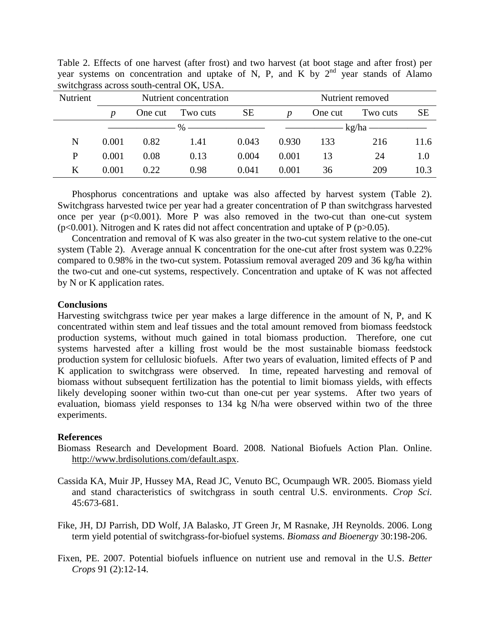| Nutrient | Nutrient concentration    |         |          |                                | Nutrient removed |         |          |           |
|----------|---------------------------|---------|----------|--------------------------------|------------------|---------|----------|-----------|
|          | p                         | One cut | Two cuts | <b>SE</b>                      | D                | One cut | Two cuts | <b>SE</b> |
|          | $\%$ ———————————————————— |         |          | $\overline{\phantom{a}}$ kg/ha |                  |         |          |           |
| N        | 0.001                     | 0.82    | 1.41     | 0.043                          | 0.930            | 133     | 216      | 11.6      |
| P        | 0.001                     | 0.08    | 0.13     | 0.004                          | 0.001            | 13      | 24       | 1.0       |
| Κ        | 0.001                     | 0.22    | 0.98     | 0.041                          | 0.001            | 36      | 209      | 10.3      |

Table 2. Effects of one harvest (after frost) and two harvest (at boot stage and after frost) per year systems on concentration and uptake of N, P, and K by  $2<sup>nd</sup>$  year stands of Alamo switchgrass across south-central OK, USA.

Phosphorus concentrations and uptake was also affected by harvest system (Table 2). Switchgrass harvested twice per year had a greater concentration of P than switchgrass harvested once per year  $(p<0.001)$ . More P was also removed in the two-cut than one-cut system ( $p<0.001$ ). Nitrogen and K rates did not affect concentration and uptake of P ( $p>0.05$ ).

Concentration and removal of K was also greater in the two-cut system relative to the one-cut system (Table 2). Average annual K concentration for the one-cut after frost system was 0.22% compared to 0.98% in the two-cut system. Potassium removal averaged 209 and 36 kg/ha within the two-cut and one-cut systems, respectively. Concentration and uptake of K was not affected by N or K application rates.

#### **Conclusions**

Harvesting switchgrass twice per year makes a large difference in the amount of N, P, and K concentrated within stem and leaf tissues and the total amount removed from biomass feedstock production systems, without much gained in total biomass production. Therefore, one cut systems harvested after a killing frost would be the most sustainable biomass feedstock production system for cellulosic biofuels. After two years of evaluation, limited effects of P and K application to switchgrass were observed. In time, repeated harvesting and removal of biomass without subsequent fertilization has the potential to limit biomass yields, with effects likely developing sooner within two-cut than one-cut per year systems. After two years of evaluation, biomass yield responses to 134 kg N/ha were observed within two of the three experiments.

#### **References**

- Biomass Research and Development Board. 2008. National Biofuels Action Plan. Online. http://www.brdisolutions.com/default.aspx.
- Cassida KA, Muir JP, Hussey MA, Read JC, Venuto BC, Ocumpaugh WR. 2005. Biomass yield and stand characteristics of switchgrass in south central U.S. environments. *Crop Sci.* 45:673-681.
- Fike, JH, DJ Parrish, DD Wolf, JA Balasko, JT Green Jr, M Rasnake, JH Reynolds. 2006. Long term yield potential of switchgrass-for-biofuel systems. *Biomass and Bioenergy* 30:198-206.
- Fixen, PE. 2007. Potential biofuels influence on nutrient use and removal in the U.S. *Better Crops* 91 (2):12-14.